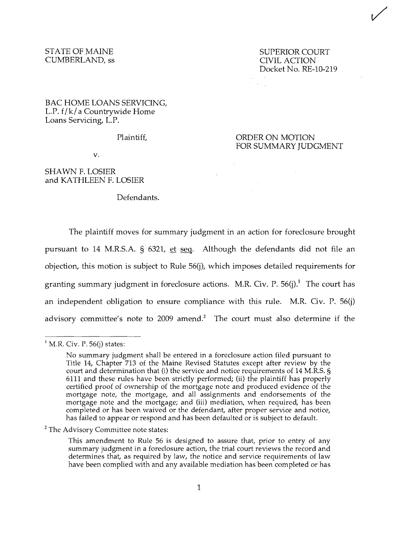## CUMBERLAND, ss

STATE OF MAINE SUPERIOR COURT SUPERIOR COURT CUMBERLAND, ss Docket No. RE-10-219  $\mathcal{A}_\mathrm{L}$ 

## BAC HOME LOANS SERVICING, L.P. f/k/ a Countrywide Home Loans Servicing, L.P.

## Plaintiff, **CONDER ON MOTION** FOR SUMMARY JUDGMENT

v.

## SHAWN F. LOSIER and KATHLEEN F. LOSIER

Defendants.

The plaintiff moves for summary judgment in an action for foreclosure brought pursuant to 14 M.R.S.A. § 6321, et seq. Although the defendants did not file an objection, this motion is subject to Rule 56(j), which imposes detailed requirements for granting summary judgment in foreclosure actions. M.R. Civ. P.  $56(j)$ <sup>1</sup>. The court has an independent obligation to ensure compliance with this rule. M.R. Civ. P. 56(j) advisory committee's note to 2009 amend? The court must also determine if the

 $<sup>1</sup>$  M.R. Civ. P. 56(j) states:</sup>

No summary judgment shall be entered in a foreclosure action filed pursuant to Title 14, Chapter 713 of the Maine Revised Statutes except after review by the court and determination that (i) the service and notice requirements of 14 M.R.S. § 6111 and these rules have been strictly performed; (ii) the plaintiff has properly certified proof of ownership of the mortgage note and produced evidence of the mortgage note, the mortgage, and all assignments and endorsements of the mortgage note and the mortgage; and (iii) mediation, when required, has been completed or has been waived or the defendant, after proper service and notice, has failed to appear or respond and has been defaulted or is subject to default.

 $2$  The Advisory Committee note states:

This amendment to Rule 56 is designed to assure that, prior to entry of any summary judgment in a foreclosure action, the trial court reviews the record and determines that, as required by law, the notice and service requirements of law have been complied with and any available mediation has been completed or has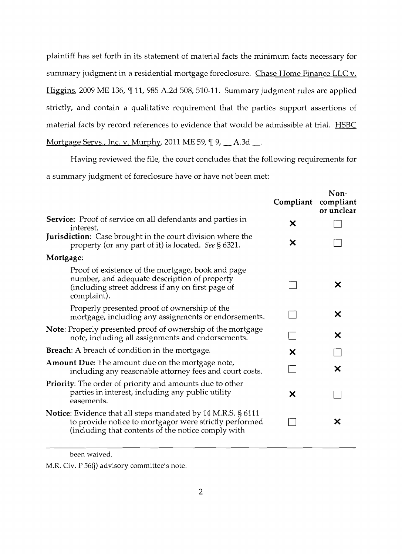plaintiff has set forth in its statement of material facts the minimum facts necessary for summary judgment in a residential mortgage foreclosure. Chase Home Finance LLC v. Higgins, 2009 ME 136,  $\P$  11, 985 A.2d 508, 510-11. Summary judgment rules are applied strictly, and contain a qualitative requirement that the parties support assertions of material facts by record references to evidence that would be admissible at trial. **HSBC** Mortgage Servs., Inc. v. Murphy, 2011 ME 59,  $\P$ 9,  $\_\_$ A.3d  $\_\_$ .

Having reviewed the file, the court concludes that the following requirements for

a summary judgment of foreclosure have or have not been met:

|                                                                                                                                                                              | Compliant | Non-<br>compliant<br>or unclear |
|------------------------------------------------------------------------------------------------------------------------------------------------------------------------------|-----------|---------------------------------|
| <b>Service:</b> Proof of service on all defendants and parties in<br>interest.                                                                                               | Х         |                                 |
| <b>Jurisdiction</b> : Case brought in the court division where the<br>property (or any part of it) is located. See § 6321.                                                   | X         |                                 |
| Mortgage:                                                                                                                                                                    |           |                                 |
| Proof of existence of the mortgage, book and page<br>number, and adequate description of property<br>(including street address if any on first page of<br>complaint).        |           | Х                               |
| Properly presented proof of ownership of the<br>mortgage, including any assignments or endorsements.                                                                         |           | X                               |
| <b>Note:</b> Properly presented proof of ownership of the mortgage<br>note, including all assignments and endorsements.                                                      |           | X                               |
| <b>Breach:</b> A breach of condition in the mortgage.                                                                                                                        | X         |                                 |
| <b>Amount Due:</b> The amount due on the mortgage note,<br>including any reasonable attorney fees and court costs.                                                           |           | X                               |
| Priority: The order of priority and amounts due to other<br>parties in interest, including any public utility<br>easements.                                                  | X         |                                 |
| Notice: Evidence that all steps mandated by 14 M.R.S. § 6111<br>to provide notice to mortgagor were strictly performed<br>(including that contents of the notice comply with |           | Х                               |
|                                                                                                                                                                              |           |                                 |

been waived.

M.R. Civ. P 56(j) advisory committee's note.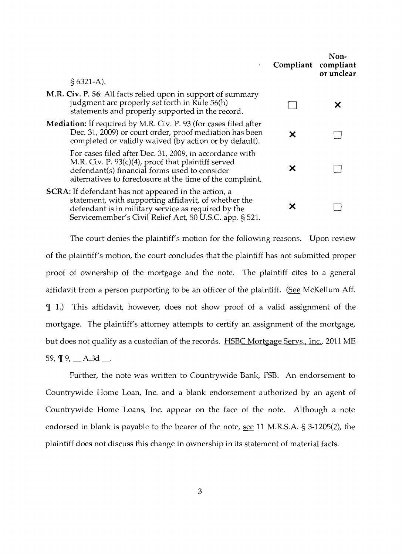| $\bullet$                                                                                                                                                                                                                             | Compliant compliant | Non-<br>or unclear |
|---------------------------------------------------------------------------------------------------------------------------------------------------------------------------------------------------------------------------------------|---------------------|--------------------|
| $$6321-A$ ).                                                                                                                                                                                                                          |                     |                    |
| M.R. Civ. P. 56: All facts relied upon in support of summary<br>judgment are properly set forth in Rule 56(h)<br>statements and properly supported in the record.                                                                     |                     | Х                  |
| <b>Mediation:</b> If required by M.R. Civ. P. 93 (for cases filed after<br>Dec. 31, 2009) or court order, proof mediation has been<br>completed or validly waived (by action or by default).                                          |                     |                    |
| For cases filed after Dec. 31, 2009, in accordance with<br>M.R. Civ. P. 93(c)(4), proof that plaintiff served<br>defendant(s) financial forms used to consider<br>alternatives to foreclosure at the time of the complaint.           | Х                   |                    |
| <b>SCRA:</b> If defendant has not appeared in the action, a<br>statement, with supporting affidavit, of whether the<br>defendant is in military service as required by the<br>Servicemember's Civil Relief Act, 50 U.S.C. app. § 521. | х                   |                    |

The court denies the plaintiff's motion for the following reasons. Upon review of the plaintiff's motion, the court concludes that the plaintiff has not submitted proper proof of ownership of the mortgage and the note. The plaintiff cites to a general affidavit from a person purporting to be an officer of the plaintiff. (See McKellum Aff. If 1.) This affidavit, however, does not show proof of a valid assignment of the mortgage. The plaintiff's attorney attempts to certify an assignment of the mortgage, but does not qualify as a custodian of the records. HSBC Mortgage Servs., Inc., 2011 ME 59,  $\P$  9,  $\_\$  A.3d  $\_\$ .

Further, the note was written to Countrywide Bank, FSB. An endorsement to Countrywide Home Loan, Inc. and a blank endorsement authorized by an agent of Countrywide Home Loans, Inc. appear on the face of the note. Although a note endorsed in blank is payable to the bearer of the note, see 11 M.R.S.A. § 3-1205(2), the plaintiff does not discuss this change in ownership in its statement of material facts.